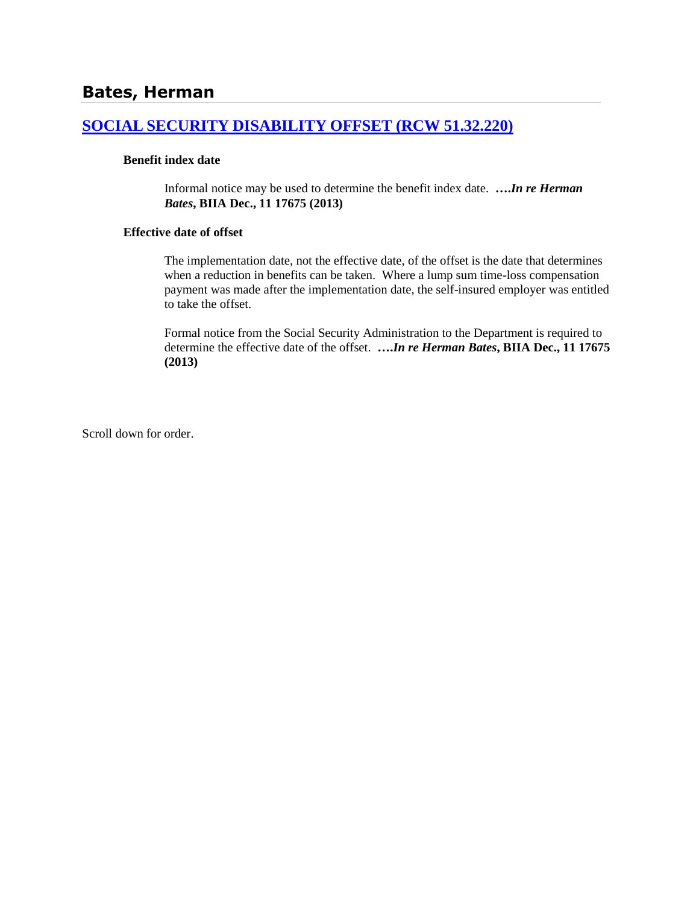## **[SOCIAL SECURITY DISABILITY OFFSET \(RCW 51.32.220\)](http://www.biia.wa.gov/SDSubjectIndex.html#SOCIAL_SECURITY_DISABILITY_OFFSET)**

### **Benefit index date**

Informal notice may be used to determine the benefit index date. **….***In re Herman Bates***, BIIA Dec., 11 17675 (2013)**

#### **Effective date of offset**

The implementation date, not the effective date, of the offset is the date that determines when a reduction in benefits can be taken. Where a lump sum time-loss compensation payment was made after the implementation date, the self-insured employer was entitled to take the offset.

Formal notice from the Social Security Administration to the Department is required to determine the effective date of the offset. **….***In re Herman Bates***, BIIA Dec., 11 17675 (2013)**

Scroll down for order.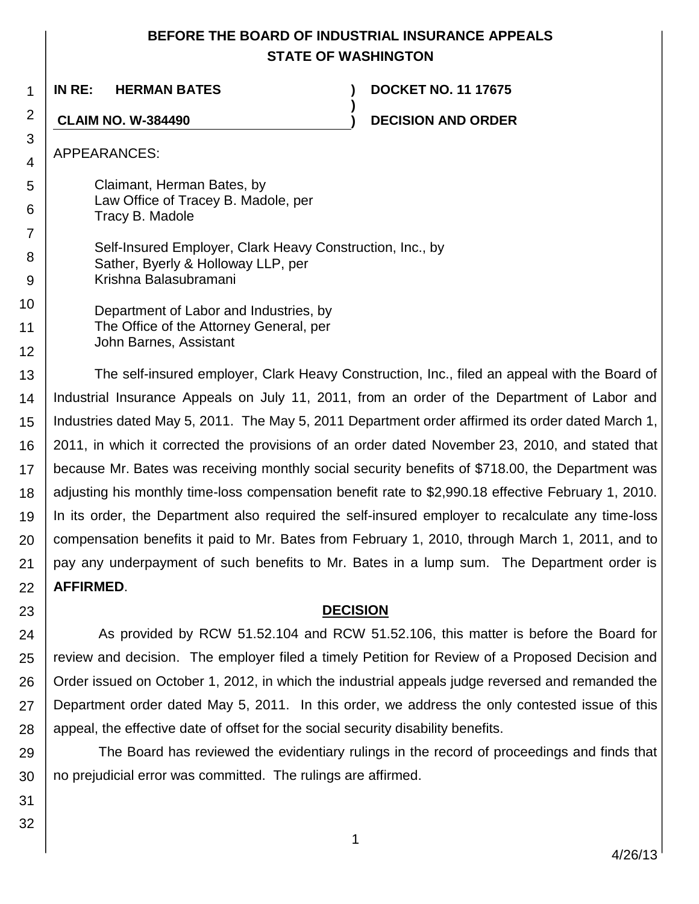# **BEFORE THE BOARD OF INDUSTRIAL INSURANCE APPEALS STATE OF WASHINGTON**

**)**

1 **IN RE: HERMAN BATES ) DOCKET NO. 11 17675**

**CLAIM NO. W-384490 ) DECISION AND ORDER**

APPEARANCES:

2

3 4

9

5 6 7 8 Claimant, Herman Bates, by Law Office of Tracey B. Madole, per Tracy B. Madole Self-Insured Employer, Clark Heavy Construction, Inc., by Sather, Byerly & Holloway LLP, per

Krishna Balasubramani

10 11 12 Department of Labor and Industries, by The Office of the Attorney General, per John Barnes, Assistant

13 14 15 16 17 18 19 20 21 22 The self-insured employer, Clark Heavy Construction, Inc., filed an appeal with the Board of Industrial Insurance Appeals on July 11, 2011, from an order of the Department of Labor and Industries dated May 5, 2011. The May 5, 2011 Department order affirmed its order dated March 1, 2011, in which it corrected the provisions of an order dated November 23, 2010, and stated that because Mr. Bates was receiving monthly social security benefits of \$718.00, the Department was adjusting his monthly time-loss compensation benefit rate to \$2,990.18 effective February 1, 2010. In its order, the Department also required the self-insured employer to recalculate any time-loss compensation benefits it paid to Mr. Bates from February 1, 2010, through March 1, 2011, and to pay any underpayment of such benefits to Mr. Bates in a lump sum. The Department order is **AFFIRMED**.

**DECISION**

24 25 26 27 28 As provided by RCW 51.52.104 and RCW 51.52.106, this matter is before the Board for review and decision. The employer filed a timely Petition for Review of a Proposed Decision and Order issued on October 1, 2012, in which the industrial appeals judge reversed and remanded the Department order dated May 5, 2011. In this order, we address the only contested issue of this appeal, the effective date of offset for the social security disability benefits.

29 30 The Board has reviewed the evidentiary rulings in the record of proceedings and finds that no prejudicial error was committed. The rulings are affirmed.

31 32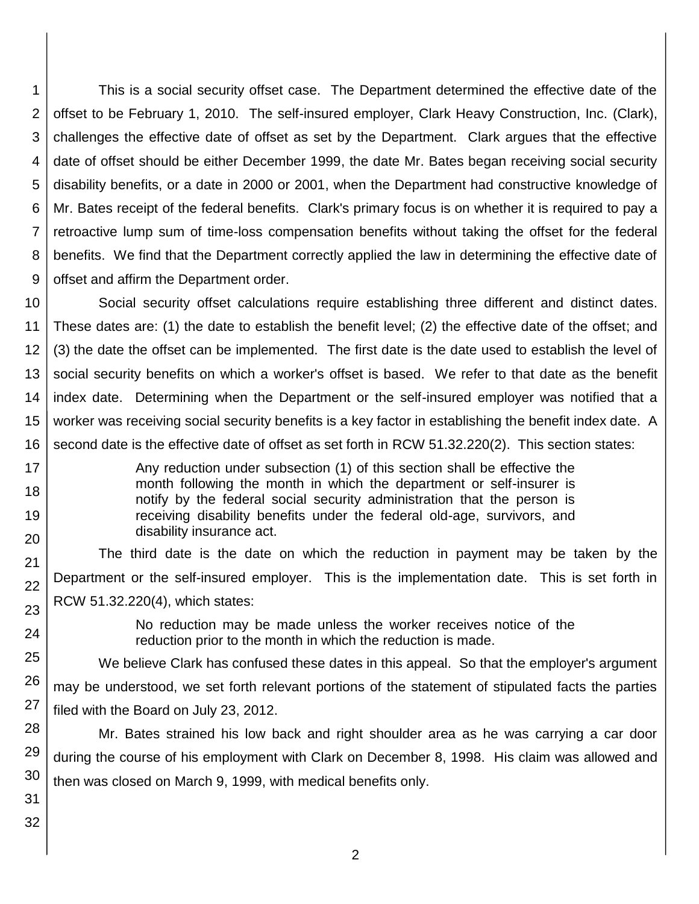1 2 3 4 5 6 7 8 9 This is a social security offset case. The Department determined the effective date of the offset to be February 1, 2010. The self-insured employer, Clark Heavy Construction, Inc. (Clark), challenges the effective date of offset as set by the Department. Clark argues that the effective date of offset should be either December 1999, the date Mr. Bates began receiving social security disability benefits, or a date in 2000 or 2001, when the Department had constructive knowledge of Mr. Bates receipt of the federal benefits. Clark's primary focus is on whether it is required to pay a retroactive lump sum of time-loss compensation benefits without taking the offset for the federal benefits. We find that the Department correctly applied the law in determining the effective date of offset and affirm the Department order.

10 11 12 13 14 15 16 Social security offset calculations require establishing three different and distinct dates. These dates are: (1) the date to establish the benefit level; (2) the effective date of the offset; and (3) the date the offset can be implemented. The first date is the date used to establish the level of social security benefits on which a worker's offset is based. We refer to that date as the benefit index date. Determining when the Department or the self-insured employer was notified that a worker was receiving social security benefits is a key factor in establishing the benefit index date. A second date is the effective date of offset as set forth in RCW 51.32.220(2). This section states:

> Any reduction under subsection (1) of this section shall be effective the month following the month in which the department or self-insurer is notify by the federal social security administration that the person is receiving disability benefits under the federal old-age, survivors, and disability insurance act.

The third date is the date on which the reduction in payment may be taken by the Department or the self-insured employer. This is the implementation date. This is set forth in RCW 51.32.220(4), which states:

> No reduction may be made unless the worker receives notice of the reduction prior to the month in which the reduction is made.

25 26 27 We believe Clark has confused these dates in this appeal. So that the employer's argument may be understood, we set forth relevant portions of the statement of stipulated facts the parties filed with the Board on July 23, 2012.

28 29 30 Mr. Bates strained his low back and right shoulder area as he was carrying a car door during the course of his employment with Clark on December 8, 1998. His claim was allowed and then was closed on March 9, 1999, with medical benefits only.

31 32

17 18

19

20

21 22

23

24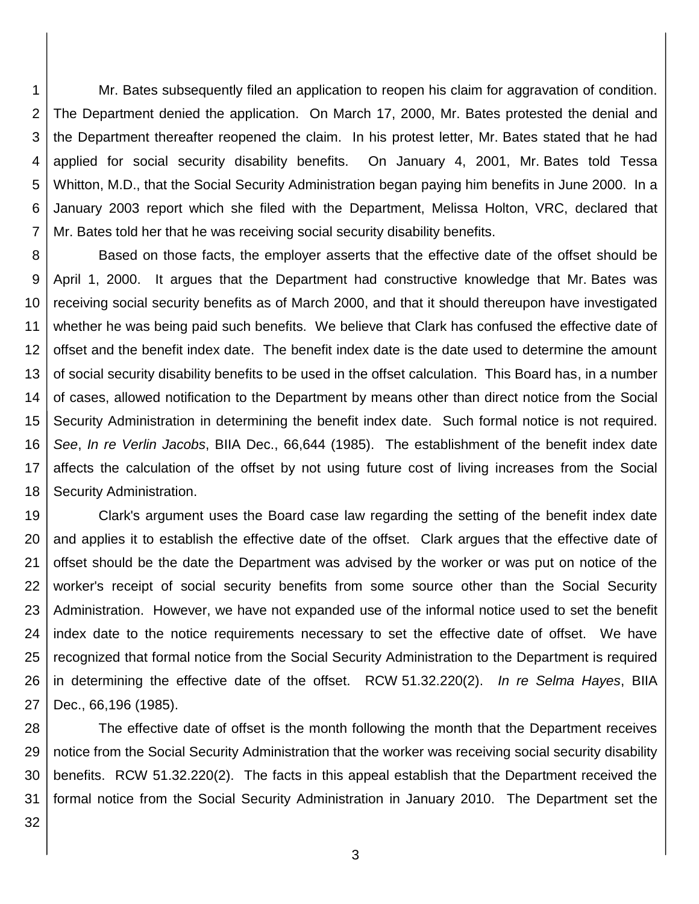1 2 3 4 5 6 7 Mr. Bates subsequently filed an application to reopen his claim for aggravation of condition. The Department denied the application. On March 17, 2000, Mr. Bates protested the denial and the Department thereafter reopened the claim. In his protest letter, Mr. Bates stated that he had applied for social security disability benefits. On January 4, 2001, Mr. Bates told Tessa Whitton, M.D., that the Social Security Administration began paying him benefits in June 2000. In a January 2003 report which she filed with the Department, Melissa Holton, VRC, declared that Mr. Bates told her that he was receiving social security disability benefits.

8 9 10 11 12 13 14 15 16 17 18 Based on those facts, the employer asserts that the effective date of the offset should be April 1, 2000. It argues that the Department had constructive knowledge that Mr. Bates was receiving social security benefits as of March 2000, and that it should thereupon have investigated whether he was being paid such benefits. We believe that Clark has confused the effective date of offset and the benefit index date. The benefit index date is the date used to determine the amount of social security disability benefits to be used in the offset calculation. This Board has, in a number of cases, allowed notification to the Department by means other than direct notice from the Social Security Administration in determining the benefit index date. Such formal notice is not required. *See*, *In re Verlin Jacobs*, BIIA Dec., 66,644 (1985). The establishment of the benefit index date affects the calculation of the offset by not using future cost of living increases from the Social Security Administration.

19 20 21 22 23 24 25 26 27 Clark's argument uses the Board case law regarding the setting of the benefit index date and applies it to establish the effective date of the offset. Clark argues that the effective date of offset should be the date the Department was advised by the worker or was put on notice of the worker's receipt of social security benefits from some source other than the Social Security Administration. However, we have not expanded use of the informal notice used to set the benefit index date to the notice requirements necessary to set the effective date of offset. We have recognized that formal notice from the Social Security Administration to the Department is required in determining the effective date of the offset. RCW 51.32.220(2). *In re Selma Hayes*, BIIA Dec., 66,196 (1985).

28 29 30 31 The effective date of offset is the month following the month that the Department receives notice from the Social Security Administration that the worker was receiving social security disability benefits. RCW 51.32.220(2). The facts in this appeal establish that the Department received the formal notice from the Social Security Administration in January 2010. The Department set the

32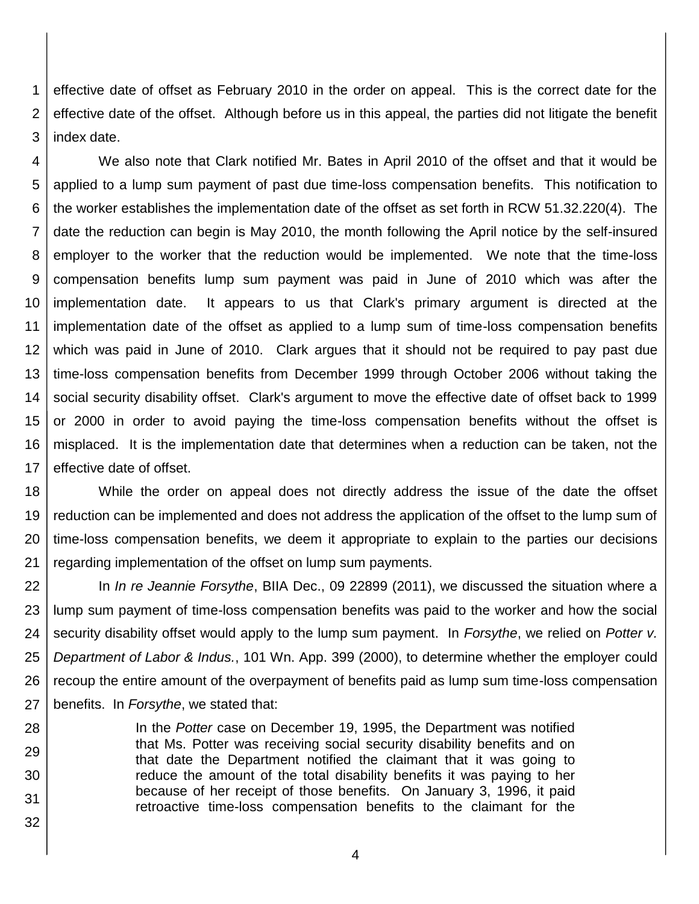1 2 3 effective date of offset as February 2010 in the order on appeal. This is the correct date for the effective date of the offset. Although before us in this appeal, the parties did not litigate the benefit index date.

4 5 6 7 8 9 10 11 12 13 14 15 16 17 We also note that Clark notified Mr. Bates in April 2010 of the offset and that it would be applied to a lump sum payment of past due time-loss compensation benefits. This notification to the worker establishes the implementation date of the offset as set forth in RCW 51.32.220(4). The date the reduction can begin is May 2010, the month following the April notice by the self-insured employer to the worker that the reduction would be implemented. We note that the time-loss compensation benefits lump sum payment was paid in June of 2010 which was after the implementation date. It appears to us that Clark's primary argument is directed at the implementation date of the offset as applied to a lump sum of time-loss compensation benefits which was paid in June of 2010. Clark argues that it should not be required to pay past due time-loss compensation benefits from December 1999 through October 2006 without taking the social security disability offset. Clark's argument to move the effective date of offset back to 1999 or 2000 in order to avoid paying the time-loss compensation benefits without the offset is misplaced. It is the implementation date that determines when a reduction can be taken, not the effective date of offset.

18 19 20 21 While the order on appeal does not directly address the issue of the date the offset reduction can be implemented and does not address the application of the offset to the lump sum of time-loss compensation benefits, we deem it appropriate to explain to the parties our decisions regarding implementation of the offset on lump sum payments.

22 23 24 25 26 27 In *In re Jeannie Forsythe*, BIIA Dec., 09 22899 (2011), we discussed the situation where a lump sum payment of time-loss compensation benefits was paid to the worker and how the social security disability offset would apply to the lump sum payment. In *Forsythe*, we relied on *Potter v. Department of Labor & Indus.*, 101 Wn. App. 399 (2000), to determine whether the employer could recoup the entire amount of the overpayment of benefits paid as lump sum time-loss compensation benefits. In *Forsythe*, we stated that:

28 29 30 31 32 In the *Potter* case on December 19, 1995, the Department was notified that Ms. Potter was receiving social security disability benefits and on that date the Department notified the claimant that it was going to reduce the amount of the total disability benefits it was paying to her because of her receipt of those benefits. On January 3, 1996, it paid retroactive time-loss compensation benefits to the claimant for the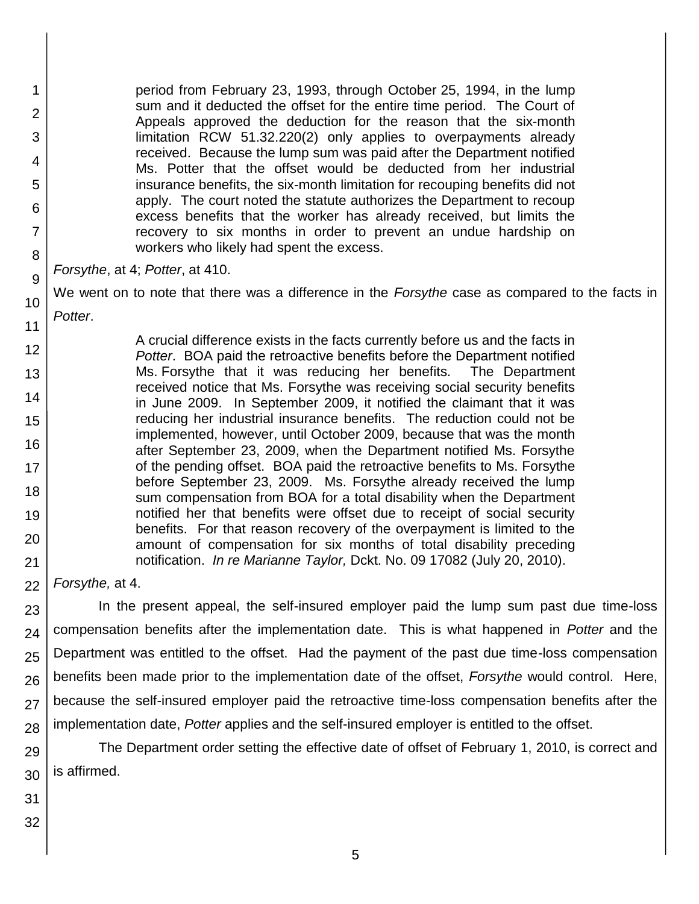period from February 23, 1993, through October 25, 1994, in the lump sum and it deducted the offset for the entire time period. The Court of Appeals approved the deduction for the reason that the six-month limitation RCW 51.32.220(2) only applies to overpayments already received. Because the lump sum was paid after the Department notified Ms. Potter that the offset would be deducted from her industrial insurance benefits, the six-month limitation for recouping benefits did not apply. The court noted the statute authorizes the Department to recoup excess benefits that the worker has already received, but limits the recovery to six months in order to prevent an undue hardship on workers who likely had spent the excess.

*Forsythe*, at 4; *Potter*, at 410.

1

2

3

4

5

6

7

8

9

10

11

12

13

14

15

16

17 18

19

20

21

We went on to note that there was a difference in the *Forsythe* case as compared to the facts in *Potter*.

A crucial difference exists in the facts currently before us and the facts in *Potter*. BOA paid the retroactive benefits before the Department notified Ms. Forsythe that it was reducing her benefits. The Department received notice that Ms. Forsythe was receiving social security benefits in June 2009. In September 2009, it notified the claimant that it was reducing her industrial insurance benefits. The reduction could not be implemented, however, until October 2009, because that was the month after September 23, 2009, when the Department notified Ms. Forsythe of the pending offset. BOA paid the retroactive benefits to Ms. Forsythe before September 23, 2009. Ms. Forsythe already received the lump sum compensation from BOA for a total disability when the Department notified her that benefits were offset due to receipt of social security benefits. For that reason recovery of the overpayment is limited to the amount of compensation for six months of total disability preceding notification. *In re Marianne Taylor,* Dckt. No. 09 17082 (July 20, 2010).

22 *Forsythe,* at 4.

23 24 25 26 27 28 In the present appeal, the self-insured employer paid the lump sum past due time-loss compensation benefits after the implementation date. This is what happened in *Potter* and the Department was entitled to the offset. Had the payment of the past due time-loss compensation benefits been made prior to the implementation date of the offset, *Forsythe* would control. Here, because the self-insured employer paid the retroactive time-loss compensation benefits after the implementation date, *Potter* applies and the self-insured employer is entitled to the offset.

29 30 The Department order setting the effective date of offset of February 1, 2010, is correct and is affirmed.

31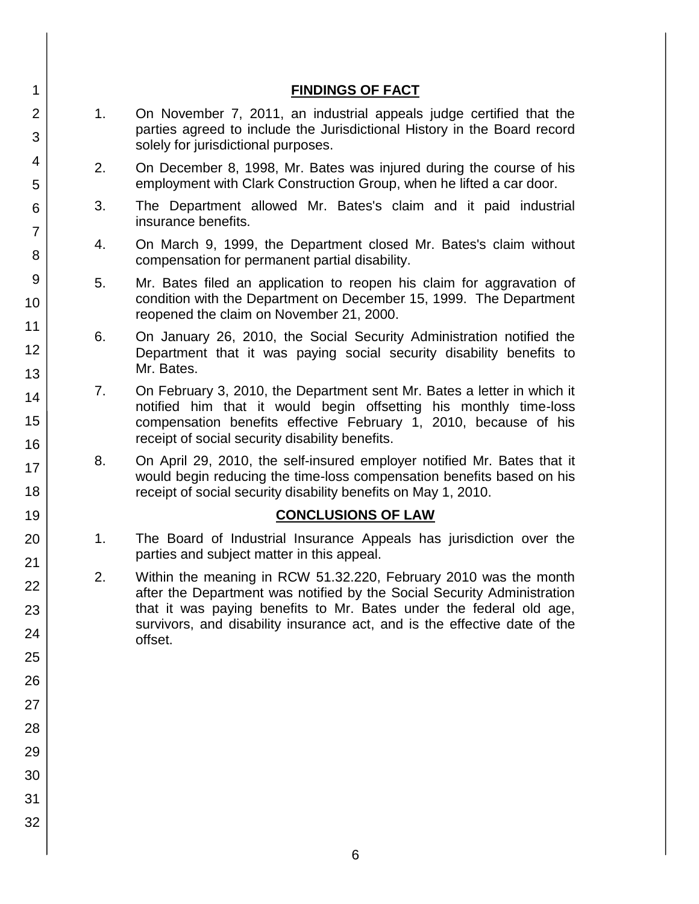|    | <b>FINDINGS OF FACT</b>                                                                                                                                                                                                                                                                                    |
|----|------------------------------------------------------------------------------------------------------------------------------------------------------------------------------------------------------------------------------------------------------------------------------------------------------------|
| 1. | On November 7, 2011, an industrial appeals judge certified that the<br>parties agreed to include the Jurisdictional History in the Board record<br>solely for jurisdictional purposes.                                                                                                                     |
| 2. | On December 8, 1998, Mr. Bates was injured during the course of his<br>employment with Clark Construction Group, when he lifted a car door.                                                                                                                                                                |
| 3. | The Department allowed Mr. Bates's claim and it paid industrial<br>insurance benefits.                                                                                                                                                                                                                     |
| 4. | On March 9, 1999, the Department closed Mr. Bates's claim without<br>compensation for permanent partial disability.                                                                                                                                                                                        |
| 5. | Mr. Bates filed an application to reopen his claim for aggravation of<br>condition with the Department on December 15, 1999. The Department<br>reopened the claim on November 21, 2000.                                                                                                                    |
| 6. | On January 26, 2010, the Social Security Administration notified the<br>Department that it was paying social security disability benefits to<br>Mr. Bates.                                                                                                                                                 |
| 7. | On February 3, 2010, the Department sent Mr. Bates a letter in which it<br>notified him that it would begin offsetting his monthly time-loss<br>compensation benefits effective February 1, 2010, because of his<br>receipt of social security disability benefits.                                        |
| 8. | On April 29, 2010, the self-insured employer notified Mr. Bates that it<br>would begin reducing the time-loss compensation benefits based on his<br>receipt of social security disability benefits on May 1, 2010.                                                                                         |
|    | <b>CONCLUSIONS OF LAW</b>                                                                                                                                                                                                                                                                                  |
| 1. | The Board of Industrial Insurance Appeals has jurisdiction over the<br>parties and subject matter in this appeal.                                                                                                                                                                                          |
| 2. | Within the meaning in RCW 51.32.220, February 2010 was the month<br>after the Department was notified by the Social Security Administration<br>that it was paying benefits to Mr. Bates under the federal old age,<br>survivors, and disability insurance act, and is the effective date of the<br>offset. |
|    |                                                                                                                                                                                                                                                                                                            |
|    |                                                                                                                                                                                                                                                                                                            |
|    |                                                                                                                                                                                                                                                                                                            |
|    |                                                                                                                                                                                                                                                                                                            |
|    |                                                                                                                                                                                                                                                                                                            |
|    |                                                                                                                                                                                                                                                                                                            |

1 2 3

4

5

6 7

8

9

10

11

12

13

14

15

16

17

18

19

20

21

22

23

24

25

26

27

28

29

30

31